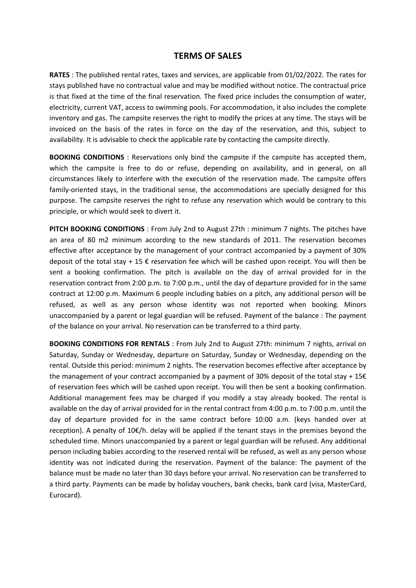## **TERMS OF SALES**

**RATES** : The published rental rates, taxes and services, are applicable from 01/02/2022. The rates for stays published have no contractual value and may be modified without notice. The contractual price is that fixed at the time of the final reservation. The fixed price includes the consumption of water, electricity, current VAT, access to swimming pools. For accommodation, it also includes the complete inventory and gas. The campsite reserves the right to modify the prices at any time. The stays will be invoiced on the basis of the rates in force on the day of the reservation, and this, subject to availability. It is advisable to check the applicable rate by contacting the campsite directly.

**BOOKING CONDITIONS** : Reservations only bind the campsite if the campsite has accepted them, which the campsite is free to do or refuse, depending on availability, and in general, on all circumstances likely to interfere with the execution of the reservation made. The campsite offers family-oriented stays, in the traditional sense, the accommodations are specially designed for this purpose. The campsite reserves the right to refuse any reservation which would be contrary to this principle, or which would seek to divert it.

**PITCH BOOKING CONDITIONS** : From July 2nd to August 27th : minimum 7 nights. The pitches have an area of 80 m2 minimum according to the new standards of 2011. The reservation becomes effective after acceptance by the management of your contract accompanied by a payment of 30% deposit of the total stay + 15 € reservation fee which will be cashed upon receipt. You will then be sent a booking confirmation. The pitch is available on the day of arrival provided for in the reservation contract from 2:00 p.m. to 7:00 p.m., until the day of departure provided for in the same contract at 12:00 p.m. Maximum 6 people including babies on a pitch, any additional person will be refused, as well as any person whose identity was not reported when booking. Minors unaccompanied by a parent or legal guardian will be refused. Payment of the balance : The payment of the balance on your arrival. No reservation can be transferred to a third party.

**BOOKING CONDITIONS FOR RENTALS** : From July 2nd to August 27th: minimum 7 nights, arrival on Saturday, Sunday or Wednesday, departure on Saturday, Sunday or Wednesday, depending on the rental. Outside this period: minimum 2 nights. The reservation becomes effective after acceptance by the management of your contract accompanied by a payment of 30% deposit of the total stay + 15€ of reservation fees which will be cashed upon receipt. You will then be sent a booking confirmation. Additional management fees may be charged if you modify a stay already booked. The rental is available on the day of arrival provided for in the rental contract from 4:00 p.m. to 7:00 p.m. until the day of departure provided for in the same contract before 10:00 a.m. (keys handed over at reception). A penalty of 10€/h. delay will be applied if the tenant stays in the premises beyond the scheduled time. Minors unaccompanied by a parent or legal guardian will be refused. Any additional person including babies according to the reserved rental will be refused, as well as any person whose identity was not indicated during the reservation. Payment of the balance: The payment of the balance must be made no later than 30 days before your arrival. No reservation can be transferred to a third party. Payments can be made by holiday vouchers, bank checks, bank card (visa, MasterCard, Eurocard).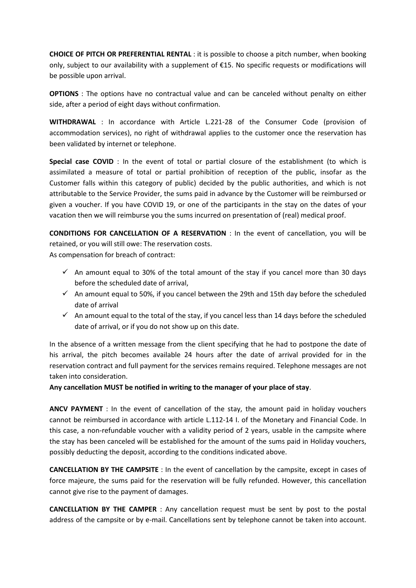**CHOICE OF PITCH OR PREFERENTIAL RENTAL** : it is possible to choose a pitch number, when booking only, subject to our availability with a supplement of €15. No specific requests or modifications will be possible upon arrival.

**OPTIONS** : The options have no contractual value and can be canceled without penalty on either side, after a period of eight days without confirmation.

**WITHDRAWAL** : In accordance with Article L.221-28 of the Consumer Code (provision of accommodation services), no right of withdrawal applies to the customer once the reservation has been validated by internet or telephone.

Special case COVID : In the event of total or partial closure of the establishment (to which is assimilated a measure of total or partial prohibition of reception of the public, insofar as the Customer falls within this category of public) decided by the public authorities, and which is not attributable to the Service Provider, the sums paid in advance by the Customer will be reimbursed or given a voucher. If you have COVID 19, or one of the participants in the stay on the dates of your vacation then we will reimburse you the sums incurred on presentation of (real) medical proof.

**CONDITIONS FOR CANCELLATION OF A RESERVATION** : In the event of cancellation, you will be retained, or you will still owe: The reservation costs.

As compensation for breach of contract:

- $\checkmark$  An amount equal to 30% of the total amount of the stay if you cancel more than 30 days before the scheduled date of arrival,
- $\checkmark$  An amount equal to 50%, if you cancel between the 29th and 15th day before the scheduled date of arrival
- $\checkmark$  An amount equal to the total of the stay, if you cancel less than 14 days before the scheduled date of arrival, or if you do not show up on this date.

In the absence of a written message from the client specifying that he had to postpone the date of his arrival, the pitch becomes available 24 hours after the date of arrival provided for in the reservation contract and full payment for the services remains required. Telephone messages are not taken into consideration.

**Any cancellation MUST be notified in writing to the manager of your place of stay**.

**ANCV PAYMENT** : In the event of cancellation of the stay, the amount paid in holiday vouchers cannot be reimbursed in accordance with article L.112-14 I. of the Monetary and Financial Code. In this case, a non-refundable voucher with a validity period of 2 years, usable in the campsite where the stay has been canceled will be established for the amount of the sums paid in Holiday vouchers, possibly deducting the deposit, according to the conditions indicated above.

**CANCELLATION BY THE CAMPSITE** : In the event of cancellation by the campsite, except in cases of force majeure, the sums paid for the reservation will be fully refunded. However, this cancellation cannot give rise to the payment of damages.

**CANCELLATION BY THE CAMPER** : Any cancellation request must be sent by post to the postal address of the campsite or by e-mail. Cancellations sent by telephone cannot be taken into account.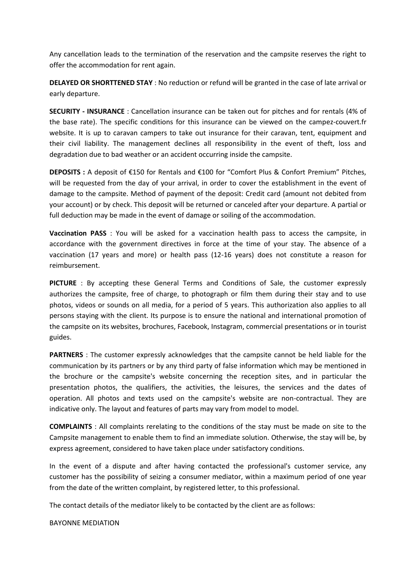Any cancellation leads to the termination of the reservation and the campsite reserves the right to offer the accommodation for rent again.

**DELAYED OR SHORTTENED STAY** : No reduction or refund will be granted in the case of late arrival or early departure.

**SECURITY - INSURANCE** : Cancellation insurance can be taken out for pitches and for rentals (4% of the base rate). The specific conditions for this insurance can be viewed on the campez-couvert.fr website. It is up to caravan campers to take out insurance for their caravan, tent, equipment and their civil liability. The management declines all responsibility in the event of theft, loss and degradation due to bad weather or an accident occurring inside the campsite.

**DEPOSITS :** A deposit of €150 for Rentals and €100 for "Comfort Plus & Confort Premium" Pitches, will be requested from the day of your arrival, in order to cover the establishment in the event of damage to the campsite. Method of payment of the deposit: Credit card (amount not debited from your account) or by check. This deposit will be returned or canceled after your departure. A partial or full deduction may be made in the event of damage or soiling of the accommodation.

**Vaccination PASS** : You will be asked for a vaccination health pass to access the campsite, in accordance with the government directives in force at the time of your stay. The absence of a vaccination (17 years and more) or health pass (12-16 years) does not constitute a reason for reimbursement.

**PICTURE** : By accepting these General Terms and Conditions of Sale, the customer expressly authorizes the campsite, free of charge, to photograph or film them during their stay and to use photos, videos or sounds on all media, for a period of 5 years. This authorization also applies to all persons staying with the client. Its purpose is to ensure the national and international promotion of the campsite on its websites, brochures, Facebook, Instagram, commercial presentations or in tourist guides.

**PARTNERS** : The customer expressly acknowledges that the campsite cannot be held liable for the communication by its partners or by any third party of false information which may be mentioned in the brochure or the campsite's website concerning the reception sites, and in particular the presentation photos, the qualifiers, the activities, the leisures, the services and the dates of operation. All photos and texts used on the campsite's website are non-contractual. They are indicative only. The layout and features of parts may vary from model to model.

**COMPLAINTS** : All complaints rerelating to the conditions of the stay must be made on site to the Campsite management to enable them to find an immediate solution. Otherwise, the stay will be, by express agreement, considered to have taken place under satisfactory conditions.

In the event of a dispute and after having contacted the professional's customer service, any customer has the possibility of seizing a consumer mediator, within a maximum period of one year from the date of the written complaint, by registered letter, to this professional.

The contact details of the mediator likely to be contacted by the client are as follows:

BAYONNE MEDIATION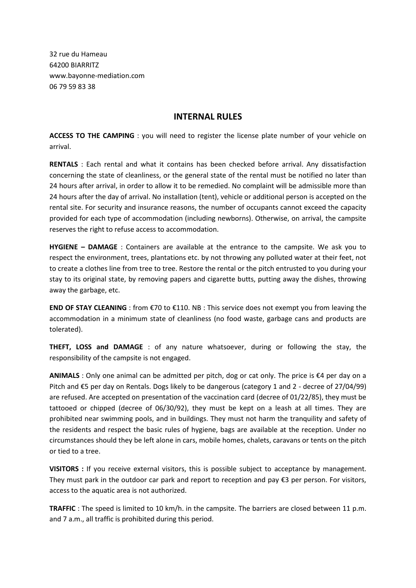32 rue du Hameau 64200 BIARRITZ www.bayonne-mediation.com 06 79 59 83 38

## **INTERNAL RULES**

**ACCESS TO THE CAMPING** : you will need to register the license plate number of your vehicle on arrival.

**RENTALS** : Each rental and what it contains has been checked before arrival. Any dissatisfaction concerning the state of cleanliness, or the general state of the rental must be notified no later than 24 hours after arrival, in order to allow it to be remedied. No complaint will be admissible more than 24 hours after the day of arrival. No installation (tent), vehicle or additional person is accepted on the rental site. For security and insurance reasons, the number of occupants cannot exceed the capacity provided for each type of accommodation (including newborns). Otherwise, on arrival, the campsite reserves the right to refuse access to accommodation.

**HYGIENE – DAMAGE** : Containers are available at the entrance to the campsite. We ask you to respect the environment, trees, plantations etc. by not throwing any polluted water at their feet, not to create a clothes line from tree to tree. Restore the rental or the pitch entrusted to you during your stay to its original state, by removing papers and cigarette butts, putting away the dishes, throwing away the garbage, etc.

**END OF STAY CLEANING** : from €70 to €110. NB : This service does not exempt you from leaving the accommodation in a minimum state of cleanliness (no food waste, garbage cans and products are tolerated).

**THEFT, LOSS and DAMAGE** : of any nature whatsoever, during or following the stay, the responsibility of the campsite is not engaged.

**ANIMALS** : Only one animal can be admitted per pitch, dog or cat only. The price is €4 per day on a Pitch and €5 per day on Rentals. Dogs likely to be dangerous (category 1 and 2 - decree of 27/04/99) are refused. Are accepted on presentation of the vaccination card (decree of 01/22/85), they must be tattooed or chipped (decree of 06/30/92), they must be kept on a leash at all times. They are prohibited near swimming pools, and in buildings. They must not harm the tranquility and safety of the residents and respect the basic rules of hygiene, bags are available at the reception. Under no circumstances should they be left alone in cars, mobile homes, chalets, caravans or tents on the pitch or tied to a tree.

**VISITORS :** If you receive external visitors, this is possible subject to acceptance by management. They must park in the outdoor car park and report to reception and pay €3 per person. For visitors, access to the aquatic area is not authorized.

**TRAFFIC** : The speed is limited to 10 km/h. in the campsite. The barriers are closed between 11 p.m. and 7 a.m., all traffic is prohibited during this period.